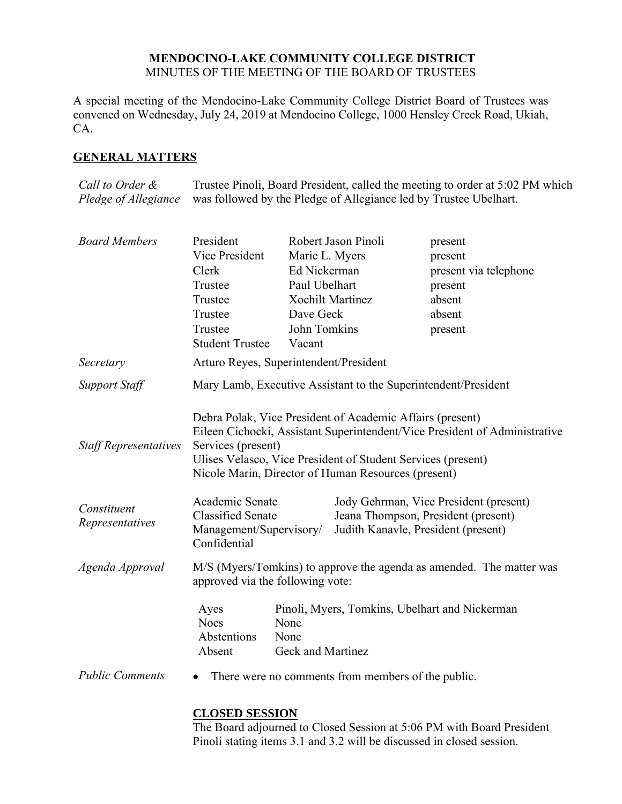## **MENDOCINO-LAKE COMMUNITY COLLEGE DISTRICT** MINUTES OF THE MEETING OF THE BOARD OF TRUSTEES

A special meeting of the Mendocino-Lake Community College District Board of Trustees was convened on Wednesday, July 24, 2019 at Mendocino College, 1000 Hensley Creek Road, Ukiah, CA.

## **GENERAL MATTERS**

*Call to Order & Pledge of Allegiance* Trustee Pinoli, Board President, called the meeting to order at 5:02 PM which was followed by the Pledge of Allegiance led by Trustee Ubelhart.

| <b>Board Members</b>           | President                                                                                                                                                                                                                                                                            |                                   | Robert Jason Pinoli                                                                                                  | present               |  |
|--------------------------------|--------------------------------------------------------------------------------------------------------------------------------------------------------------------------------------------------------------------------------------------------------------------------------------|-----------------------------------|----------------------------------------------------------------------------------------------------------------------|-----------------------|--|
|                                | Vice President                                                                                                                                                                                                                                                                       | Marie L. Myers                    |                                                                                                                      | present               |  |
|                                | Clerk                                                                                                                                                                                                                                                                                | Ed Nickerman                      |                                                                                                                      | present via telephone |  |
|                                | Trustee                                                                                                                                                                                                                                                                              | Paul Ubelhart                     |                                                                                                                      | present               |  |
|                                | Trustee                                                                                                                                                                                                                                                                              |                                   | Xochilt Martinez                                                                                                     | absent                |  |
|                                | Trustee                                                                                                                                                                                                                                                                              | Dave Geck                         |                                                                                                                      | absent                |  |
|                                | Trustee                                                                                                                                                                                                                                                                              | John Tomkins                      |                                                                                                                      | present               |  |
|                                | <b>Student Trustee</b>                                                                                                                                                                                                                                                               | Vacant                            |                                                                                                                      |                       |  |
| Secretary                      | Arturo Reyes, Superintendent/President                                                                                                                                                                                                                                               |                                   |                                                                                                                      |                       |  |
| <b>Support Staff</b>           | Mary Lamb, Executive Assistant to the Superintendent/President                                                                                                                                                                                                                       |                                   |                                                                                                                      |                       |  |
| <b>Staff Representatives</b>   | Debra Polak, Vice President of Academic Affairs (present)<br>Eileen Cichocki, Assistant Superintendent/Vice President of Administrative<br>Services (present)<br>Ulises Velasco, Vice President of Student Services (present)<br>Nicole Marin, Director of Human Resources (present) |                                   |                                                                                                                      |                       |  |
| Constituent<br>Representatives | Academic Senate<br><b>Classified Senate</b><br>Management/Supervisory/<br>Confidential                                                                                                                                                                                               |                                   | Jody Gehrman, Vice President (present)<br>Jeana Thompson, President (present)<br>Judith Kanavle, President (present) |                       |  |
| Agenda Approval                | M/S (Myers/Tomkins) to approve the agenda as amended. The matter was<br>approved via the following vote:                                                                                                                                                                             |                                   |                                                                                                                      |                       |  |
|                                | Ayes<br><b>Noes</b><br>Abstentions<br>Absent                                                                                                                                                                                                                                         | None<br>None<br>Geck and Martinez | Pinoli, Myers, Tomkins, Ubelhart and Nickerman                                                                       |                       |  |
| <b>Public Comments</b>         |                                                                                                                                                                                                                                                                                      |                                   | There were no comments from members of the public.                                                                   |                       |  |

## **CLOSED SESSION**

The Board adjourned to Closed Session at 5:06 PM with Board President Pinoli stating items 3.1 and 3.2 will be discussed in closed session.